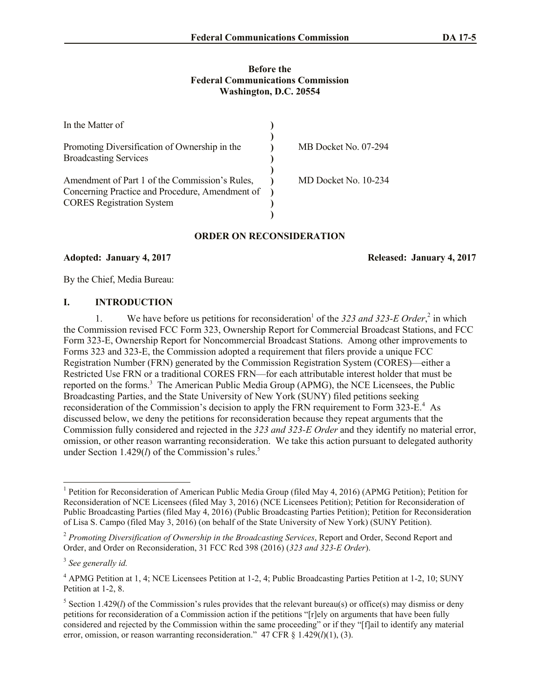### **Before the Federal Communications Commission Washington, D.C. 20554**

| In the Matter of                                                                    |                      |
|-------------------------------------------------------------------------------------|----------------------|
|                                                                                     |                      |
| Promoting Diversification of Ownership in the<br><b>Broadcasting Services</b>       | MB Docket No. 07-294 |
|                                                                                     |                      |
| Amendment of Part 1 of the Commission's Rules,                                      | MD Docket No. 10-234 |
| Concerning Practice and Procedure, Amendment of<br><b>CORES</b> Registration System |                      |
|                                                                                     |                      |

#### **ORDER ON RECONSIDERATION**

### **Adopted: January 4, 2017 Released: January 4, 2017**

By the Chief, Media Bureau:

## **I. INTRODUCTION**

1. We have before us petitions for reconsideration<sup>1</sup> of the 323 and 323-E Order,<sup>2</sup> in which the Commission revised FCC Form 323, Ownership Report for Commercial Broadcast Stations, and FCC Form 323-E, Ownership Report for Noncommercial Broadcast Stations. Among other improvements to Forms 323 and 323-E, the Commission adopted a requirement that filers provide a unique FCC Registration Number (FRN) generated by the Commission Registration System (CORES)—either a Restricted Use FRN or a traditional CORES FRN—for each attributable interest holder that must be reported on the forms.<sup>3</sup> The American Public Media Group (APMG), the NCE Licensees, the Public Broadcasting Parties, and the State University of New York (SUNY) filed petitions seeking reconsideration of the Commission's decision to apply the FRN requirement to Form 323- $E^4$ . As discussed below, we deny the petitions for reconsideration because they repeat arguments that the Commission fully considered and rejected in the *323 and 323-E Order* and they identify no material error, omission, or other reason warranting reconsideration. We take this action pursuant to delegated authority under Section 1.429(*l*) of the Commission's rules.<sup>5</sup>

l

<sup>&</sup>lt;sup>1</sup> Petition for Reconsideration of American Public Media Group (filed May 4, 2016) (APMG Petition); Petition for Reconsideration of NCE Licensees (filed May 3, 2016) (NCE Licensees Petition); Petition for Reconsideration of Public Broadcasting Parties (filed May 4, 2016) (Public Broadcasting Parties Petition); Petition for Reconsideration of Lisa S. Campo (filed May 3, 2016) (on behalf of the State University of New York) (SUNY Petition).

<sup>2</sup> *Promoting Diversification of Ownership in the Broadcasting Services*, Report and Order, Second Report and Order, and Order on Reconsideration, 31 FCC Rcd 398 (2016) (*323 and 323-E Order*).

<sup>3</sup> *See generally id.*

<sup>4</sup> APMG Petition at 1, 4; NCE Licensees Petition at 1-2, 4; Public Broadcasting Parties Petition at 1-2, 10; SUNY Petition at 1-2, 8.

<sup>&</sup>lt;sup>5</sup> Section 1.429(*l*) of the Commission's rules provides that the relevant bureau(s) or office(s) may dismiss or deny petitions for reconsideration of a Commission action if the petitions "[r]ely on arguments that have been fully considered and rejected by the Commission within the same proceeding" or if they "[f]ail to identify any material error, omission, or reason warranting reconsideration." 47 CFR § 1.429(*l*)(1), (3).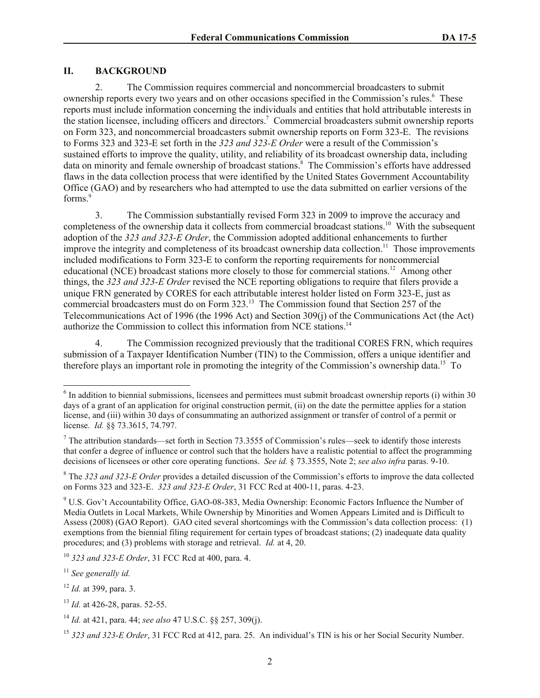# **II. BACKGROUND**

2. The Commission requires commercial and noncommercial broadcasters to submit ownership reports every two years and on other occasions specified in the Commission's rules.<sup>6</sup> These reports must include information concerning the individuals and entities that hold attributable interests in the station licensee, including officers and directors.<sup>7</sup> Commercial broadcasters submit ownership reports on Form 323, and noncommercial broadcasters submit ownership reports on Form 323-E. The revisions to Forms 323 and 323-E set forth in the *323 and 323-E Order* were a result of the Commission's sustained efforts to improve the quality, utility, and reliability of its broadcast ownership data, including data on minority and female ownership of broadcast stations. 8 The Commission's efforts have addressed flaws in the data collection process that were identified by the United States Government Accountability Office (GAO) and by researchers who had attempted to use the data submitted on earlier versions of the forms.<sup>9</sup>

3. The Commission substantially revised Form 323 in 2009 to improve the accuracy and completeness of the ownership data it collects from commercial broadcast stations.<sup>10</sup> With the subsequent adoption of the *323 and 323-E Order*, the Commission adopted additional enhancements to further improve the integrity and completeness of its broadcast ownership data collection.<sup>11</sup> Those improvements included modifications to Form 323-E to conform the reporting requirements for noncommercial educational (NCE) broadcast stations more closely to those for commercial stations.<sup>12</sup> Among other things, the *323 and 323-E Order* revised the NCE reporting obligations to require that filers provide a unique FRN generated by CORES for each attributable interest holder listed on Form 323-E, just as commercial broadcasters must do on Form 323.<sup>13</sup> The Commission found that Section 257 of the Telecommunications Act of 1996 (the 1996 Act) and Section 309(j) of the Communications Act (the Act) authorize the Commission to collect this information from NCE stations.<sup>14</sup>

4. The Commission recognized previously that the traditional CORES FRN, which requires submission of a Taxpayer Identification Number (TIN) to the Commission, offers a unique identifier and therefore plays an important role in promoting the integrity of the Commission's ownership data.<sup>15</sup> To

<sup>&</sup>lt;sup>6</sup> In addition to biennial submissions, licensees and permittees must submit broadcast ownership reports (i) within 30 days of a grant of an application for original construction permit, (ii) on the date the permittee applies for a station license, and (iii) within 30 days of consummating an authorized assignment or transfer of control of a permit or license. *Id.* §§ 73.3615, 74.797.

<sup>&</sup>lt;sup>7</sup> The attribution standards—set forth in Section 73.3555 of Commission's rules—seek to identify those interests that confer a degree of influence or control such that the holders have a realistic potential to affect the programming decisions of licensees or other core operating functions. *See id.* § 73.3555, Note 2; *see also infra* paras. 9-10.

<sup>8</sup> The *323 and 323-E Order* provides a detailed discussion of the Commission's efforts to improve the data collected on Forms 323 and 323-E. *323 and 323-E Order*, 31 FCC Rcd at 400-11, paras. 4-23.

<sup>9</sup> U.S. Gov't Accountability Office, GAO-08-383, Media Ownership: Economic Factors Influence the Number of Media Outlets in Local Markets, While Ownership by Minorities and Women Appears Limited and is Difficult to Assess (2008) (GAO Report). GAO cited several shortcomings with the Commission's data collection process: (1) exemptions from the biennial filing requirement for certain types of broadcast stations; (2) inadequate data quality procedures; and (3) problems with storage and retrieval. *Id.* at 4, 20.

<sup>10</sup> *323 and 323-E Order*, 31 FCC Rcd at 400, para. 4.

<sup>11</sup> *See generally id.*

<sup>12</sup> *Id.* at 399, para. 3.

<sup>13</sup> *Id.* at 426-28, paras. 52-55.

<sup>14</sup> *Id.* at 421, para. 44; *see also* 47 U.S.C. §§ 257, 309(j).

<sup>15</sup> *323 and 323-E Order*, 31 FCC Rcd at 412, para. 25. An individual's TIN is his or her Social Security Number.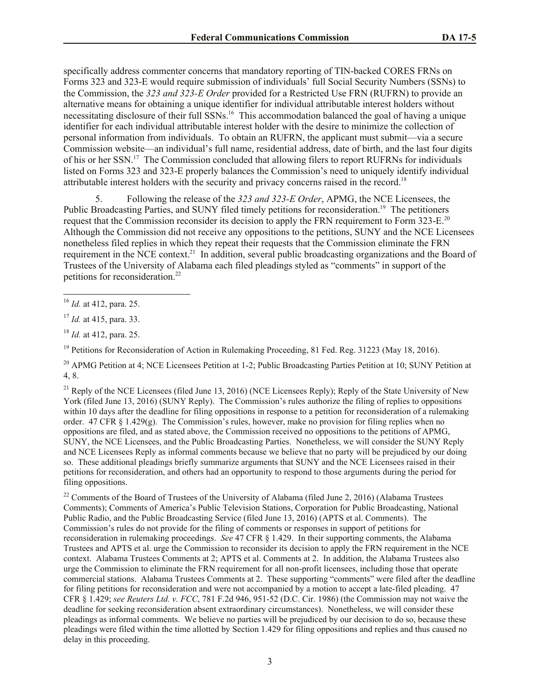specifically address commenter concerns that mandatory reporting of TIN-backed CORES FRNs on Forms 323 and 323-E would require submission of individuals' full Social Security Numbers (SSNs) to the Commission, the *323 and 323-E Order* provided for a Restricted Use FRN (RUFRN) to provide an alternative means for obtaining a unique identifier for individual attributable interest holders without necessitating disclosure of their full SSNs.<sup>16</sup> This accommodation balanced the goal of having a unique identifier for each individual attributable interest holder with the desire to minimize the collection of personal information from individuals. To obtain an RUFRN, the applicant must submit—via a secure Commission website—an individual's full name, residential address, date of birth, and the last four digits of his or her SSN.<sup>17</sup> The Commission concluded that allowing filers to report RUFRNs for individuals listed on Forms 323 and 323-E properly balances the Commission's need to uniquely identify individual attributable interest holders with the security and privacy concerns raised in the record.<sup>18</sup>

5. Following the release of the *323 and 323-E Order*, APMG, the NCE Licensees, the Public Broadcasting Parties, and SUNY filed timely petitions for reconsideration.<sup>19</sup> The petitioners request that the Commission reconsider its decision to apply the FRN requirement to Form 323-E.<sup>20</sup> Although the Commission did not receive any oppositions to the petitions, SUNY and the NCE Licensees nonetheless filed replies in which they repeat their requests that the Commission eliminate the FRN requirement in the NCE context.<sup>21</sup> In addition, several public broadcasting organizations and the Board of Trustees of the University of Alabama each filed pleadings styled as "comments" in support of the petitions for reconsideration.<sup>22</sup>

<sup>18</sup> *Id.* at 412, para. 25.

<sup>19</sup> Petitions for Reconsideration of Action in Rulemaking Proceeding, 81 Fed. Reg. 31223 (May 18, 2016).

<sup>20</sup> APMG Petition at 4; NCE Licensees Petition at 1-2; Public Broadcasting Parties Petition at 10; SUNY Petition at 4, 8.

<sup>21</sup> Reply of the NCE Licensees (filed June 13, 2016) (NCE Licensees Reply): Reply of the State University of New York (filed June 13, 2016) (SUNY Reply). The Commission's rules authorize the filing of replies to oppositions within 10 days after the deadline for filing oppositions in response to a petition for reconsideration of a rulemaking order. 47 CFR  $\S 1.429(g)$ . The Commission's rules, however, make no provision for filing replies when no oppositions are filed, and as stated above, the Commission received no oppositions to the petitions of APMG, SUNY, the NCE Licensees, and the Public Broadcasting Parties. Nonetheless, we will consider the SUNY Reply and NCE Licensees Reply as informal comments because we believe that no party will be prejudiced by our doing so. These additional pleadings briefly summarize arguments that SUNY and the NCE Licensees raised in their petitions for reconsideration, and others had an opportunity to respond to those arguments during the period for filing oppositions.

<sup>22</sup> Comments of the Board of Trustees of the University of Alabama (filed June 2, 2016) (Alabama Trustees Comments); Comments of America's Public Television Stations, Corporation for Public Broadcasting, National Public Radio, and the Public Broadcasting Service (filed June 13, 2016) (APTS et al. Comments). The Commission's rules do not provide for the filing of comments or responses in support of petitions for reconsideration in rulemaking proceedings. *See* 47 CFR § 1.429. In their supporting comments, the Alabama Trustees and APTS et al. urge the Commission to reconsider its decision to apply the FRN requirement in the NCE context. Alabama Trustees Comments at 2; APTS et al. Comments at 2. In addition, the Alabama Trustees also urge the Commission to eliminate the FRN requirement for all non-profit licensees, including those that operate commercial stations. Alabama Trustees Comments at 2. These supporting "comments" were filed after the deadline for filing petitions for reconsideration and were not accompanied by a motion to accept a late-filed pleading. 47 CFR § 1.429; *see Reuters Ltd. v. FCC*, 781 F.2d 946, 951-52 (D.C. Cir. 1986) (the Commission may not waive the deadline for seeking reconsideration absent extraordinary circumstances). Nonetheless, we will consider these pleadings as informal comments. We believe no parties will be prejudiced by our decision to do so, because these pleadings were filed within the time allotted by Section 1.429 for filing oppositions and replies and thus caused no delay in this proceeding.

l <sup>16</sup> *Id.* at 412, para. 25.

<sup>17</sup> *Id.* at 415, para. 33.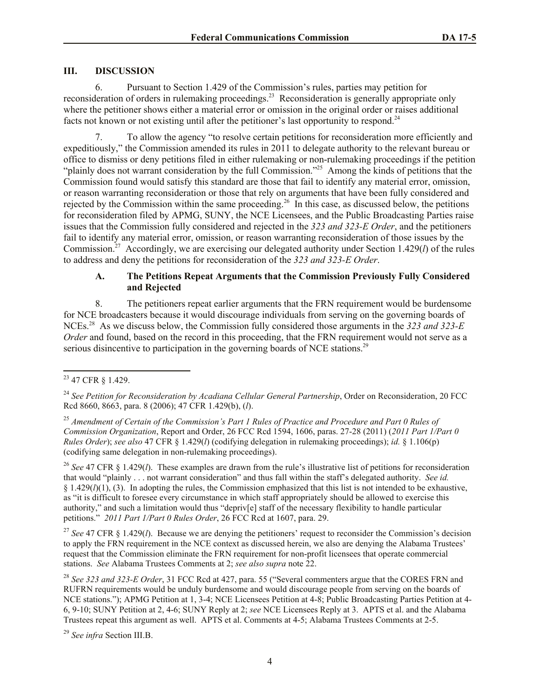## **III. DISCUSSION**

6. Pursuant to Section 1.429 of the Commission's rules, parties may petition for reconsideration of orders in rulemaking proceedings.<sup>23</sup> Reconsideration is generally appropriate only where the petitioner shows either a material error or omission in the original order or raises additional facts not known or not existing until after the petitioner's last opportunity to respond.<sup>24</sup>

7. To allow the agency "to resolve certain petitions for reconsideration more efficiently and expeditiously," the Commission amended its rules in 2011 to delegate authority to the relevant bureau or office to dismiss or deny petitions filed in either rulemaking or non-rulemaking proceedings if the petition "plainly does not warrant consideration by the full Commission."<sup>25</sup> Among the kinds of petitions that the Commission found would satisfy this standard are those that fail to identify any material error, omission, or reason warranting reconsideration or those that rely on arguments that have been fully considered and rejected by the Commission within the same proceeding.<sup>26</sup> In this case, as discussed below, the petitions for reconsideration filed by APMG, SUNY, the NCE Licensees, and the Public Broadcasting Parties raise issues that the Commission fully considered and rejected in the *323 and 323-E Order*, and the petitioners fail to identify any material error, omission, or reason warranting reconsideration of those issues by the Commission.<sup>27</sup> Accordingly, we are exercising our delegated authority under Section 1.429(*l*) of the rules to address and deny the petitions for reconsideration of the *323 and 323-E Order*.

# **A. The Petitions Repeat Arguments that the Commission Previously Fully Considered and Rejected**

8. The petitioners repeat earlier arguments that the FRN requirement would be burdensome for NCE broadcasters because it would discourage individuals from serving on the governing boards of NCEs.<sup>28</sup> As we discuss below, the Commission fully considered those arguments in the *323 and 323-E Order* and found, based on the record in this proceeding, that the FRN requirement would not serve as a serious disincentive to participation in the governing boards of NCE stations.<sup>29</sup>

l

<sup>26</sup> *See* 47 CFR § 1.429(*l*). These examples are drawn from the rule's illustrative list of petitions for reconsideration that would "plainly . . . not warrant consideration" and thus fall within the staff's delegated authority. *See id.*  $§$  1.429( $I$ )(1), (3). In adopting the rules, the Commission emphasized that this list is not intended to be exhaustive, as "it is difficult to foresee every circumstance in which staff appropriately should be allowed to exercise this authority," and such a limitation would thus "depriv[e] staff of the necessary flexibility to handle particular petitions." *2011 Part 1/Part 0 Rules Order*, 26 FCC Rcd at 1607, para. 29.

<sup>27</sup> See 47 CFR  $\&$  1.429(*l*). Because we are denying the petitioners' request to reconsider the Commission's decision to apply the FRN requirement in the NCE context as discussed herein, we also are denying the Alabama Trustees' request that the Commission eliminate the FRN requirement for non-profit licensees that operate commercial stations. *See* Alabama Trustees Comments at 2; *see also supra* note 22.

<sup>29</sup> *See infra* Section III.B.

<sup>&</sup>lt;sup>23</sup> 47 CFR § 1.429.

<sup>&</sup>lt;sup>24</sup> See Petition for Reconsideration by Acadiana Cellular General Partnership, Order on Reconsideration, 20 FCC Rcd 8660, 8663, para. 8 (2006); 47 CFR 1.429(b), (*l*).

<sup>25</sup> *Amendment of Certain of the Commission's Part 1 Rules of Practice and Procedure and Part 0 Rules of Commission Organization*, Report and Order, 26 FCC Rcd 1594, 1606, paras. 27-28 (2011) (*2011 Part 1/Part 0 Rules Order*); *see also* 47 CFR § 1.429(*l*) (codifying delegation in rulemaking proceedings); *id.* § 1.106(p) (codifying same delegation in non-rulemaking proceedings).

<sup>28</sup> *See 323 and 323-E Order*, 31 FCC Rcd at 427, para. 55 ("Several commenters argue that the CORES FRN and RUFRN requirements would be unduly burdensome and would discourage people from serving on the boards of NCE stations."); APMG Petition at 1, 3-4; NCE Licensees Petition at 4-8; Public Broadcasting Parties Petition at 4- 6, 9-10; SUNY Petition at 2, 4-6; SUNY Reply at 2; *see* NCE Licensees Reply at 3. APTS et al. and the Alabama Trustees repeat this argument as well. APTS et al. Comments at 4-5; Alabama Trustees Comments at 2-5.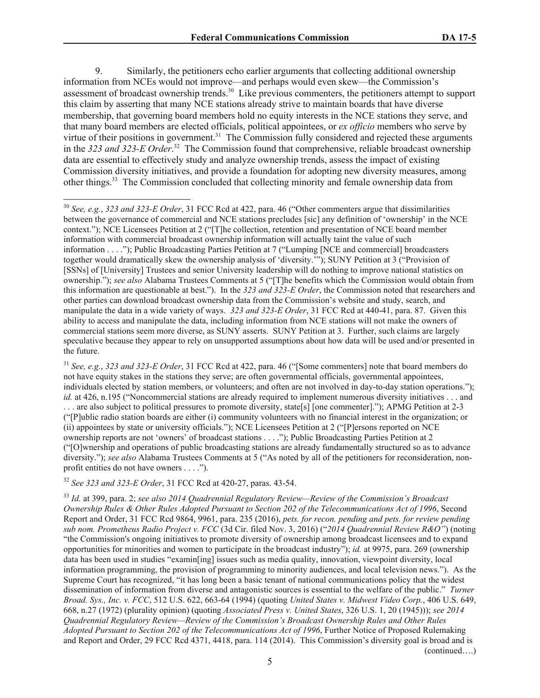9. Similarly, the petitioners echo earlier arguments that collecting additional ownership information from NCEs would not improve—and perhaps would even skew—the Commission's assessment of broadcast ownership trends.<sup>30</sup> Like previous commenters, the petitioners attempt to support this claim by asserting that many NCE stations already strive to maintain boards that have diverse membership, that governing board members hold no equity interests in the NCE stations they serve, and that many board members are elected officials, political appointees, or *ex officio* members who serve by virtue of their positions in government.<sup>31</sup> The Commission fully considered and rejected these arguments in the 323 and 323-E Order.<sup>32</sup> The Commission found that comprehensive, reliable broadcast ownership data are essential to effectively study and analyze ownership trends, assess the impact of existing Commission diversity initiatives, and provide a foundation for adopting new diversity measures, among other things.<sup>33</sup> The Commission concluded that collecting minority and female ownership data from

<sup>31</sup> *See, e.g.*, *323 and 323-E Order*, 31 FCC Rcd at 422, para. 46 ("[Some commenters] note that board members do not have equity stakes in the stations they serve; are often governmental officials, governmental appointees, individuals elected by station members, or volunteers; and often are not involved in day-to-day station operations."); *id.* at 426, n.195 ("Noncommercial stations are already required to implement numerous diversity initiatives . . . and . . . are also subject to political pressures to promote diversity, state[s] [one commenter]."); APMG Petition at 2-3 ("[P]ublic radio station boards are either (i) community volunteers with no financial interest in the organization; or (ii) appointees by state or university officials."); NCE Licensees Petition at 2 ("[P]ersons reported on NCE ownership reports are not 'owners' of broadcast stations . . . ."); Public Broadcasting Parties Petition at 2 ("[O]wnership and operations of public broadcasting stations are already fundamentally structured so as to advance diversity."); *see also* Alabama Trustees Comments at 5 ("As noted by all of the petitioners for reconsideration, nonprofit entities do not have owners . . . .").

<sup>32</sup> *See 323 and 323-E Order*, 31 FCC Rcd at 420-27, paras. 43-54.

l

<sup>33</sup> *Id.* at 399, para. 2; *see also 2014 Quadrennial Regulatory Review—Review of the Commission's Broadcast Ownership Rules & Other Rules Adopted Pursuant to Section 202 of the Telecommunications Act of 1996*, Second Report and Order, 31 FCC Rcd 9864, 9961, para. 235 (2016), *pets. for recon. pending and pets. for review pending sub nom. Prometheus Radio Project v. FCC* (3d Cir. filed Nov. 3, 2016) ("*2014 Quadrennial Review R&O"*) (noting "the Commission's ongoing initiatives to promote diversity of ownership among broadcast licensees and to expand opportunities for minorities and women to participate in the broadcast industry"); *id.* at 9975, para. 269 (ownership data has been used in studies "examin[ing] issues such as media quality, innovation, viewpoint diversity, local information programming, the provision of programming to minority audiences, and local television news."). As the Supreme Court has recognized, "it has long been a basic tenant of national communications policy that the widest dissemination of information from diverse and antagonistic sources is essential to the welfare of the public." *Turner Broad. Sys., Inc. v. FCC*, 512 U.S. 622, 663-64 (1994) (quoting *United States v. Midwest Video Corp.*, 406 U.S. 649, 668, n.27 (1972) (plurality opinion) (quoting *Associated Press v. United States*, 326 U.S. 1, 20 (1945))); *see 2014 Quadrennial Regulatory Review—Review of the Commission's Broadcast Ownership Rules and Other Rules Adopted Pursuant to Section 202 of the Telecommunications Act of 1996*, Further Notice of Proposed Rulemaking and Report and Order, 29 FCC Rcd 4371, 4418, para. 114 (2014). This Commission's diversity goal is broad and is (continued….)

<sup>30</sup> *See, e.g.*, *323 and 323-E Order*, 31 FCC Rcd at 422, para. 46 ("Other commenters argue that dissimilarities between the governance of commercial and NCE stations precludes [sic] any definition of 'ownership' in the NCE context."); NCE Licensees Petition at 2 ("[T]he collection, retention and presentation of NCE board member information with commercial broadcast ownership information will actually taint the value of such information . . . ."); Public Broadcasting Parties Petition at 7 ("Lumping [NCE and commercial] broadcasters together would dramatically skew the ownership analysis of 'diversity.'"); SUNY Petition at 3 ("Provision of [SSNs] of [University] Trustees and senior University leadership will do nothing to improve national statistics on ownership."); *see also* Alabama Trustees Comments at 5 ("[T]he benefits which the Commission would obtain from this information are questionable at best."). In the *323 and 323-E Order*, the Commission noted that researchers and other parties can download broadcast ownership data from the Commission's website and study, search, and manipulate the data in a wide variety of ways. *323 and 323-E Order*, 31 FCC Rcd at 440-41, para. 87. Given this ability to access and manipulate the data, including information from NCE stations will not make the owners of commercial stations seem more diverse, as SUNY asserts. SUNY Petition at 3. Further, such claims are largely speculative because they appear to rely on unsupported assumptions about how data will be used and/or presented in the future.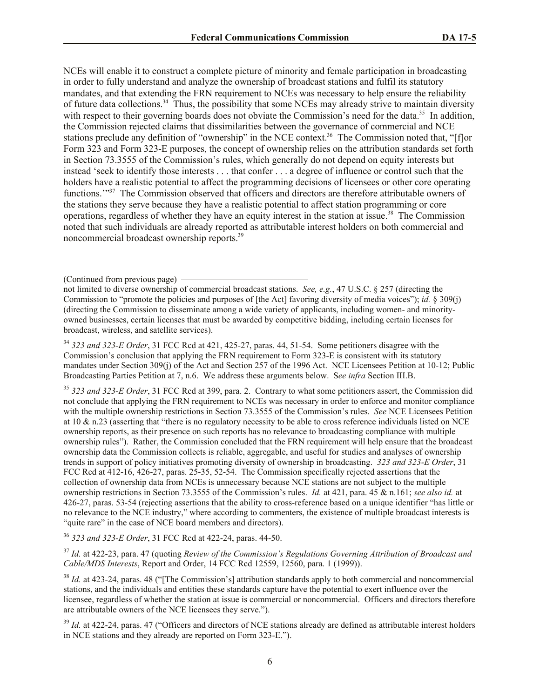NCEs will enable it to construct a complete picture of minority and female participation in broadcasting in order to fully understand and analyze the ownership of broadcast stations and fulfil its statutory mandates, and that extending the FRN requirement to NCEs was necessary to help ensure the reliability of future data collections.<sup>34</sup> Thus, the possibility that some NCEs may already strive to maintain diversity with respect to their governing boards does not obviate the Commission's need for the data.<sup>35</sup> In addition, the Commission rejected claims that dissimilarities between the governance of commercial and NCE stations preclude any definition of "ownership" in the NCE context.<sup>36</sup> The Commission noted that, "[f]or Form 323 and Form 323-E purposes, the concept of ownership relies on the attribution standards set forth in Section 73.3555 of the Commission's rules, which generally do not depend on equity interests but instead 'seek to identify those interests . . . that confer . . . a degree of influence or control such that the holders have a realistic potential to affect the programming decisions of licensees or other core operating functions."<sup>37</sup> The Commission observed that officers and directors are therefore attributable owners of the stations they serve because they have a realistic potential to affect station programming or core operations, regardless of whether they have an equity interest in the station at issue.<sup>38</sup> The Commission noted that such individuals are already reported as attributable interest holders on both commercial and noncommercial broadcast ownership reports.<sup>39</sup>

<sup>34</sup> *323 and 323-E Order*, 31 FCC Rcd at 421, 425-27, paras. 44, 51-54. Some petitioners disagree with the Commission's conclusion that applying the FRN requirement to Form 323-E is consistent with its statutory mandates under Section 309(j) of the Act and Section 257 of the 1996 Act. NCE Licensees Petition at 10-12; Public Broadcasting Parties Petition at 7, n.6. We address these arguments below. S*ee infra* Section III.B.

<sup>35</sup> *323 and 323-E Order*, 31 FCC Rcd at 399, para. 2. Contrary to what some petitioners assert, the Commission did not conclude that applying the FRN requirement to NCEs was necessary in order to enforce and monitor compliance with the multiple ownership restrictions in Section 73.3555 of the Commission's rules. *See* NCE Licensees Petition at 10  $\&$  n.23 (asserting that "there is no regulatory necessity to be able to cross reference individuals listed on NCE ownership reports, as their presence on such reports has no relevance to broadcasting compliance with multiple ownership rules"). Rather, the Commission concluded that the FRN requirement will help ensure that the broadcast ownership data the Commission collects is reliable, aggregable, and useful for studies and analyses of ownership trends in support of policy initiatives promoting diversity of ownership in broadcasting. *323 and 323-E Order*, 31 FCC Rcd at 412-16, 426-27, paras. 25-35, 52-54. The Commission specifically rejected assertions that the collection of ownership data from NCEs is unnecessary because NCE stations are not subject to the multiple ownership restrictions in Section 73.3555 of the Commission's rules. *Id.* at 421, para. 45 & n.161; *see also id.* at 426-27, paras. 53-54 (rejecting assertions that the ability to cross-reference based on a unique identifier "has little or no relevance to the NCE industry," where according to commenters, the existence of multiple broadcast interests is "quite rare" in the case of NCE board members and directors).

<sup>36</sup> *323 and 323-E Order*, 31 FCC Rcd at 422-24, paras. 44-50.

<sup>37</sup> *Id.* at 422-23, para. 47 (quoting *Review of the Commission's Regulations Governing Attribution of Broadcast and Cable/MDS Interests*, Report and Order, 14 FCC Rcd 12559, 12560, para. 1 (1999)).

<sup>38</sup> *Id.* at 423-24, paras. 48 ("[The Commission's] attribution standards apply to both commercial and noncommercial stations, and the individuals and entities these standards capture have the potential to exert influence over the licensee, regardless of whether the station at issue is commercial or noncommercial. Officers and directors therefore are attributable owners of the NCE licensees they serve.").

<sup>39</sup> *Id.* at 422-24, paras. 47 ("Officers and directors of NCE stations already are defined as attributable interest holders in NCE stations and they already are reported on Form 323-E.").

<sup>(</sup>Continued from previous page)

not limited to diverse ownership of commercial broadcast stations. *See, e.g.*, 47 U.S.C. § 257 (directing the Commission to "promote the policies and purposes of [the Act] favoring diversity of media voices"); *id.* § 309(j) (directing the Commission to disseminate among a wide variety of applicants, including women- and minorityowned businesses, certain licenses that must be awarded by competitive bidding, including certain licenses for broadcast, wireless, and satellite services).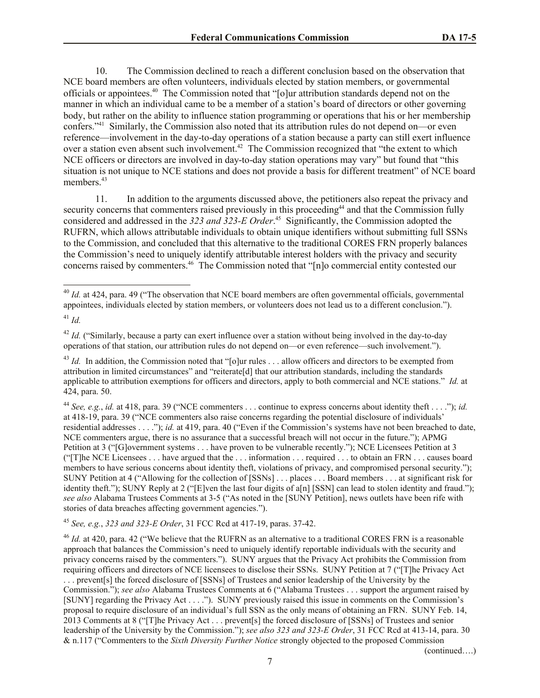10. The Commission declined to reach a different conclusion based on the observation that NCE board members are often volunteers, individuals elected by station members, or governmental officials or appointees. 40 The Commission noted that "[o]ur attribution standards depend not on the manner in which an individual came to be a member of a station's board of directors or other governing body, but rather on the ability to influence station programming or operations that his or her membership confers."<sup>41</sup> Similarly, the Commission also noted that its attribution rules do not depend on—or even reference—involvement in the day-to-day operations of a station because a party can still exert influence over a station even absent such involvement.<sup>42</sup> The Commission recognized that "the extent to which NCE officers or directors are involved in day-to-day station operations may vary" but found that "this situation is not unique to NCE stations and does not provide a basis for different treatment" of NCE board members. 43

11. In addition to the arguments discussed above, the petitioners also repeat the privacy and security concerns that commenters raised previously in this proceeding<sup>44</sup> and that the Commission fully considered and addressed in the *323 and 323-E Order*. 45 Significantly, the Commission adopted the RUFRN, which allows attributable individuals to obtain unique identifiers without submitting full SSNs to the Commission, and concluded that this alternative to the traditional CORES FRN properly balances the Commission's need to uniquely identify attributable interest holders with the privacy and security concerns raised by commenters.<sup>46</sup> The Commission noted that "[n]o commercial entity contested our

l

<sup>44</sup> *See, e.g.*, *id.* at 418, para. 39 ("NCE commenters . . . continue to express concerns about identity theft . . . ."); *id.*  at 418-19, para. 39 ("NCE commenters also raise concerns regarding the potential disclosure of individuals' residential addresses . . . ."); *id.* at 419, para. 40 ("Even if the Commission's systems have not been breached to date, NCE commenters argue, there is no assurance that a successful breach will not occur in the future."); APMG Petition at 3 ("[G]overnment systems . . . have proven to be vulnerable recently."); NCE Licensees Petition at 3 ("[T]he NCE Licensees . . . have argued that the . . . information . . . required . . . to obtain an FRN . . . causes board members to have serious concerns about identity theft, violations of privacy, and compromised personal security."); SUNY Petition at 4 ("Allowing for the collection of [SSNs] . . . places . . . Board members . . . at significant risk for identity theft."); SUNY Reply at 2 ("[E]ven the last four digits of a[n] [SSN] can lead to stolen identity and fraud."); *see also* Alabama Trustees Comments at 3-5 ("As noted in the [SUNY Petition], news outlets have been rife with stories of data breaches affecting government agencies.").

# <sup>45</sup> *See, e.g.*, *323 and 323-E Order*, 31 FCC Rcd at 417-19, paras. 37-42.

<sup>46</sup> *Id.* at 420, para. 42 ("We believe that the RUFRN as an alternative to a traditional CORES FRN is a reasonable approach that balances the Commission's need to uniquely identify reportable individuals with the security and privacy concerns raised by the commenters."). SUNY argues that the Privacy Act prohibits the Commission from requiring officers and directors of NCE licensees to disclose their SSNs. SUNY Petition at 7 ("[T]he Privacy Act

. . . prevent[s] the forced disclosure of [SSNs] of Trustees and senior leadership of the University by the Commission."); *see also* Alabama Trustees Comments at 6 ("Alabama Trustees . . . support the argument raised by [SUNY] regarding the Privacy Act . . . ."). SUNY previously raised this issue in comments on the Commission's proposal to require disclosure of an individual's full SSN as the only means of obtaining an FRN. SUNY Feb. 14, 2013 Comments at 8 ("[T]he Privacy Act . . . prevent[s] the forced disclosure of [SSNs] of Trustees and senior leadership of the University by the Commission."); *see also 323 and 323-E Order*, 31 FCC Rcd at 413-14, para. 30 & n.117 ("Commenters to the *Sixth Diversity Further Notice* strongly objected to the proposed Commission

(continued….)

<sup>&</sup>lt;sup>40</sup> *Id.* at 424, para. 49 ("The observation that NCE board members are often governmental officials, governmental appointees, individuals elected by station members, or volunteers does not lead us to a different conclusion.").

<sup>41</sup> *Id.*

<sup>&</sup>lt;sup>42</sup> *Id.* ("Similarly, because a party can exert influence over a station without being involved in the day-to-day operations of that station, our attribution rules do not depend on—or even reference—such involvement.").

<sup>&</sup>lt;sup>43</sup> *Id.* In addition, the Commission noted that "[o]ur rules ... allow officers and directors to be exempted from attribution in limited circumstances" and "reiterate[d] that our attribution standards, including the standards applicable to attribution exemptions for officers and directors, apply to both commercial and NCE stations." *Id.* at 424, para. 50.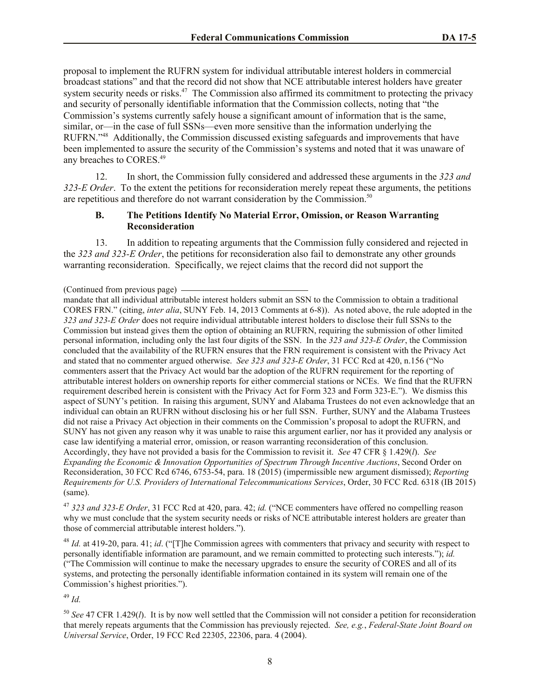proposal to implement the RUFRN system for individual attributable interest holders in commercial broadcast stations" and that the record did not show that NCE attributable interest holders have greater system security needs or risks.<sup>47</sup> The Commission also affirmed its commitment to protecting the privacy and security of personally identifiable information that the Commission collects, noting that "the Commission's systems currently safely house a significant amount of information that is the same, similar, or—in the case of full SSNs—even more sensitive than the information underlying the RUFRN."<sup>48</sup> Additionally, the Commission discussed existing safeguards and improvements that have been implemented to assure the security of the Commission's systems and noted that it was unaware of any breaches to CORES.<sup>49</sup>

12. In short, the Commission fully considered and addressed these arguments in the *323 and 323-E Order*. To the extent the petitions for reconsideration merely repeat these arguments, the petitions are repetitious and therefore do not warrant consideration by the Commission.<sup>50</sup>

## **B. The Petitions Identify No Material Error, Omission, or Reason Warranting Reconsideration**

13. In addition to repeating arguments that the Commission fully considered and rejected in the *323 and 323-E Order*, the petitions for reconsideration also fail to demonstrate any other grounds warranting reconsideration. Specifically, we reject claims that the record did not support the

<sup>47</sup> *323 and 323-E Order*, 31 FCC Rcd at 420, para. 42; *id.* ("NCE commenters have offered no compelling reason why we must conclude that the system security needs or risks of NCE attributable interest holders are greater than those of commercial attributable interest holders.").

<sup>48</sup> *Id.* at 419-20, para. 41; *id.* ("The Commission agrees with commenters that privacy and security with respect to personally identifiable information are paramount, and we remain committed to protecting such interests."); *id.* ("The Commission will continue to make the necessary upgrades to ensure the security of CORES and all of its systems, and protecting the personally identifiable information contained in its system will remain one of the Commission's highest priorities.").

<sup>49</sup> *Id.*

<sup>50</sup> *See* 47 CFR 1.429(*l*). It is by now well settled that the Commission will not consider a petition for reconsideration that merely repeats arguments that the Commission has previously rejected. *See, e.g.*, *Federal-State Joint Board on Universal Service*, Order, 19 FCC Rcd 22305, 22306, para. 4 (2004).

<sup>(</sup>Continued from previous page)

mandate that all individual attributable interest holders submit an SSN to the Commission to obtain a traditional CORES FRN." (citing, *inter alia*, SUNY Feb. 14, 2013 Comments at 6-8)). As noted above, the rule adopted in the *323 and 323-E Order* does not require individual attributable interest holders to disclose their full SSNs to the Commission but instead gives them the option of obtaining an RUFRN, requiring the submission of other limited personal information, including only the last four digits of the SSN. In the *323 and 323-E Order*, the Commission concluded that the availability of the RUFRN ensures that the FRN requirement is consistent with the Privacy Act and stated that no commenter argued otherwise. *See 323 and 323-E Order*, 31 FCC Rcd at 420, n.156 ("No commenters assert that the Privacy Act would bar the adoption of the RUFRN requirement for the reporting of attributable interest holders on ownership reports for either commercial stations or NCEs. We find that the RUFRN requirement described herein is consistent with the Privacy Act for Form 323 and Form 323-E."). We dismiss this aspect of SUNY's petition. In raising this argument, SUNY and Alabama Trustees do not even acknowledge that an individual can obtain an RUFRN without disclosing his or her full SSN. Further, SUNY and the Alabama Trustees did not raise a Privacy Act objection in their comments on the Commission's proposal to adopt the RUFRN, and SUNY has not given any reason why it was unable to raise this argument earlier, nor has it provided any analysis or case law identifying a material error, omission, or reason warranting reconsideration of this conclusion. Accordingly, they have not provided a basis for the Commission to revisit it. *See* 47 CFR § 1.429(*l*). *See Expanding the Economic & Innovation Opportunities of Spectrum Through Incentive Auctions*, Second Order on Reconsideration, 30 FCC Rcd 6746, 6753-54, para. 18 (2015) (impermissible new argument dismissed); *Reporting Requirements for U.S. Providers of International Telecommunications Services*, Order, 30 FCC Rcd. 6318 (IB 2015) (same).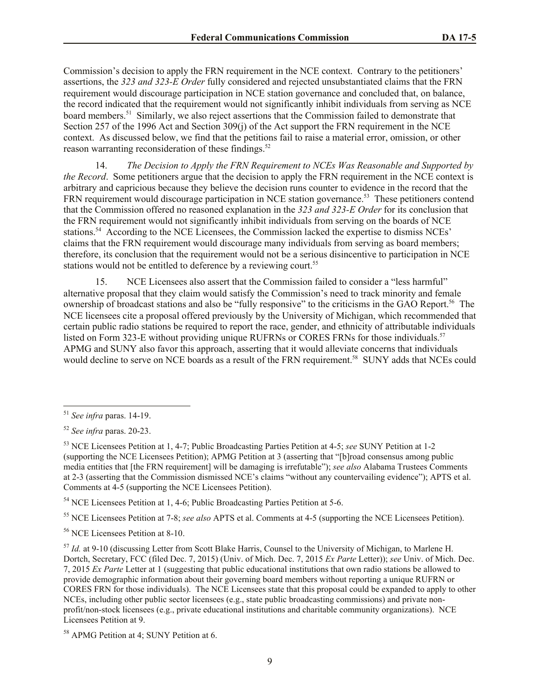Commission's decision to apply the FRN requirement in the NCE context. Contrary to the petitioners' assertions, the *323 and 323-E Order* fully considered and rejected unsubstantiated claims that the FRN requirement would discourage participation in NCE station governance and concluded that, on balance, the record indicated that the requirement would not significantly inhibit individuals from serving as NCE board members.<sup>51</sup> Similarly, we also reject assertions that the Commission failed to demonstrate that Section 257 of the 1996 Act and Section 309(j) of the Act support the FRN requirement in the NCE context. As discussed below, we find that the petitions fail to raise a material error, omission, or other reason warranting reconsideration of these findings.<sup>52</sup>

14. *The Decision to Apply the FRN Requirement to NCEs Was Reasonable and Supported by the Record.* Some petitioners argue that the decision to apply the FRN requirement in the NCE context is arbitrary and capricious because they believe the decision runs counter to evidence in the record that the FRN requirement would discourage participation in NCE station governance.<sup>53</sup> These petitioners contend that the Commission offered no reasoned explanation in the *323 and 323-E Order* for its conclusion that the FRN requirement would not significantly inhibit individuals from serving on the boards of NCE stations.<sup>54</sup> According to the NCE Licensees, the Commission lacked the expertise to dismiss NCEs' claims that the FRN requirement would discourage many individuals from serving as board members; therefore, its conclusion that the requirement would not be a serious disincentive to participation in NCE stations would not be entitled to deference by a reviewing court.<sup>55</sup>

15. NCE Licensees also assert that the Commission failed to consider a "less harmful" alternative proposal that they claim would satisfy the Commission's need to track minority and female ownership of broadcast stations and also be "fully responsive" to the criticisms in the GAO Report.<sup>56</sup> The NCE licensees cite a proposal offered previously by the University of Michigan, which recommended that certain public radio stations be required to report the race, gender, and ethnicity of attributable individuals listed on Form 323-E without providing unique RUFRNs or CORES FRNs for those individuals.<sup>57</sup> APMG and SUNY also favor this approach, asserting that it would alleviate concerns that individuals would decline to serve on NCE boards as a result of the FRN requirement.<sup>58</sup> SUNY adds that NCEs could

l

<sup>54</sup> NCE Licensees Petition at 1, 4-6; Public Broadcasting Parties Petition at 5-6.

<sup>55</sup> NCE Licensees Petition at 7-8; *see also* APTS et al. Comments at 4-5 (supporting the NCE Licensees Petition).

<sup>56</sup> NCE Licensees Petition at 8-10.

<sup>57</sup> *Id.* at 9-10 (discussing Letter from Scott Blake Harris, Counsel to the University of Michigan, to Marlene H. Dortch, Secretary, FCC (filed Dec. 7, 2015) (Univ. of Mich. Dec. 7, 2015 *Ex Parte* Letter)); *see* Univ. of Mich. Dec. 7, 2015 *Ex Parte* Letter at 1 (suggesting that public educational institutions that own radio stations be allowed to provide demographic information about their governing board members without reporting a unique RUFRN or CORES FRN for those individuals). The NCE Licensees state that this proposal could be expanded to apply to other NCEs, including other public sector licensees (e.g., state public broadcasting commissions) and private nonprofit/non-stock licensees (e.g., private educational institutions and charitable community organizations). NCE Licensees Petition at 9.

<sup>58</sup> APMG Petition at 4; SUNY Petition at 6.

<sup>51</sup> *See infra* paras. 14-19.

<sup>52</sup> *See infra* paras. 20-23.

<sup>53</sup> NCE Licensees Petition at 1, 4-7; Public Broadcasting Parties Petition at 4-5; *see* SUNY Petition at 1-2 (supporting the NCE Licensees Petition); APMG Petition at 3 (asserting that "[b]road consensus among public media entities that [the FRN requirement] will be damaging is irrefutable"); *see also* Alabama Trustees Comments at 2-3 (asserting that the Commission dismissed NCE's claims "without any countervailing evidence"); APTS et al. Comments at 4-5 (supporting the NCE Licensees Petition).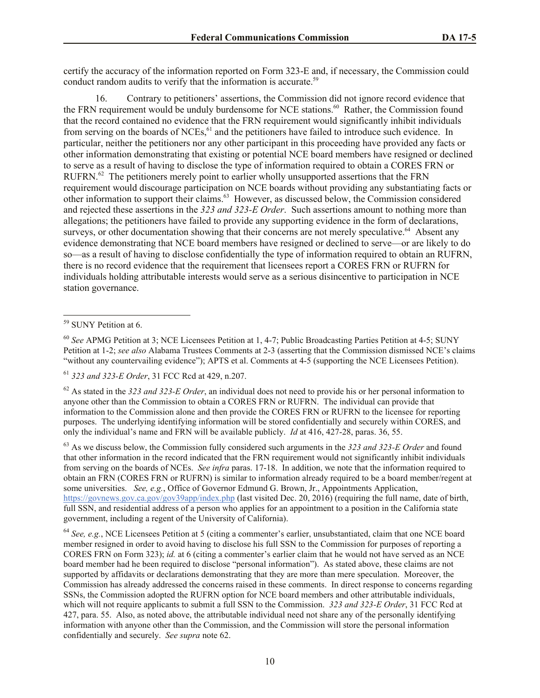certify the accuracy of the information reported on Form 323-E and, if necessary, the Commission could conduct random audits to verify that the information is accurate.<sup>59</sup>

16. Contrary to petitioners' assertions, the Commission did not ignore record evidence that the FRN requirement would be unduly burdensome for NCE stations.<sup>60</sup> Rather, the Commission found that the record contained no evidence that the FRN requirement would significantly inhibit individuals from serving on the boards of NCEs,<sup>61</sup> and the petitioners have failed to introduce such evidence. In particular, neither the petitioners nor any other participant in this proceeding have provided any facts or other information demonstrating that existing or potential NCE board members have resigned or declined to serve as a result of having to disclose the type of information required to obtain a CORES FRN or RUFRN.<sup>62</sup> The petitioners merely point to earlier wholly unsupported assertions that the FRN requirement would discourage participation on NCE boards without providing any substantiating facts or other information to support their claims. 63 However, as discussed below, the Commission considered and rejected these assertions in the *323 and 323-E Order*. Such assertions amount to nothing more than allegations; the petitioners have failed to provide any supporting evidence in the form of declarations, surveys, or other documentation showing that their concerns are not merely speculative.<sup>64</sup> Absent any evidence demonstrating that NCE board members have resigned or declined to serve—or are likely to do so—as a result of having to disclose confidentially the type of information required to obtain an RUFRN, there is no record evidence that the requirement that licensees report a CORES FRN or RUFRN for individuals holding attributable interests would serve as a serious disincentive to participation in NCE station governance.

l

<sup>61</sup> *323 and 323-E Order*, 31 FCC Rcd at 429, n.207.

<sup>62</sup> As stated in the *323 and 323-E Order*, an individual does not need to provide his or her personal information to anyone other than the Commission to obtain a CORES FRN or RUFRN. The individual can provide that information to the Commission alone and then provide the CORES FRN or RUFRN to the licensee for reporting purposes. The underlying identifying information will be stored confidentially and securely within CORES, and only the individual's name and FRN will be available publicly. *Id* at 416, 427-28, paras. 36, 55.

<sup>63</sup> As we discuss below, the Commission fully considered such arguments in the *323 and 323-E Order* and found that other information in the record indicated that the FRN requirement would not significantly inhibit individuals from serving on the boards of NCEs. *See infra* paras. 17-18. In addition, we note that the information required to obtain an FRN (CORES FRN or RUFRN) is similar to information already required to be a board member/regent at some universities. *See, e.g.*, Office of Governor Edmund G. Brown, Jr., Appointments Application, https://govnews.gov.ca.gov/gov39app/index.php (last visited Dec. 20, 2016) (requiring the full name, date of birth, full SSN, and residential address of a person who applies for an appointment to a position in the California state government, including a regent of the University of California).

<sup>64</sup> *See, e.g.*, NCE Licensees Petition at 5 (citing a commenter's earlier, unsubstantiated, claim that one NCE board member resigned in order to avoid having to disclose his full SSN to the Commission for purposes of reporting a CORES FRN on Form 323); *id.* at 6 (citing a commenter's earlier claim that he would not have served as an NCE board member had he been required to disclose "personal information"). As stated above, these claims are not supported by affidavits or declarations demonstrating that they are more than mere speculation. Moreover, the Commission has already addressed the concerns raised in these comments. In direct response to concerns regarding SSNs, the Commission adopted the RUFRN option for NCE board members and other attributable individuals, which will not require applicants to submit a full SSN to the Commission. *323 and 323-E Order*, 31 FCC Rcd at 427, para. 55. Also, as noted above, the attributable individual need not share any of the personally identifying information with anyone other than the Commission, and the Commission will store the personal information confidentially and securely. *See supra* note 62.

<sup>&</sup>lt;sup>59</sup> SUNY Petition at 6.

<sup>60</sup> *See* APMG Petition at 3; NCE Licensees Petition at 1, 4-7; Public Broadcasting Parties Petition at 4-5; SUNY Petition at 1-2; *see also* Alabama Trustees Comments at 2-3 (asserting that the Commission dismissed NCE's claims "without any countervailing evidence"); APTS et al. Comments at 4-5 (supporting the NCE Licensees Petition).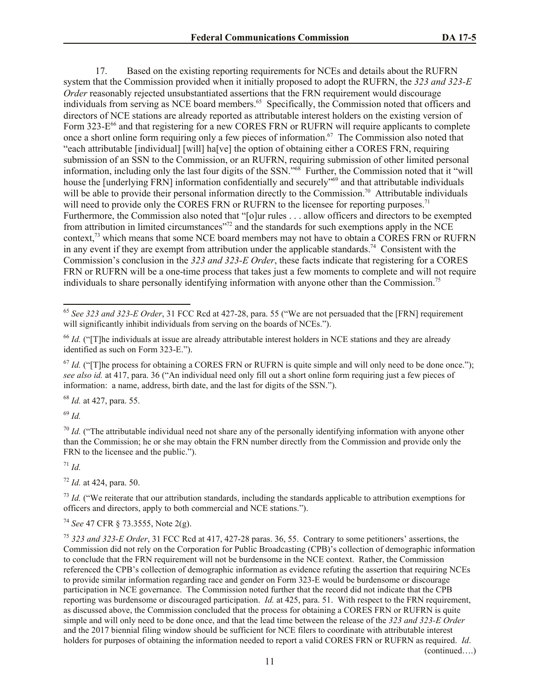17. Based on the existing reporting requirements for NCEs and details about the RUFRN system that the Commission provided when it initially proposed to adopt the RUFRN, the *323 and 323-E Order* reasonably rejected unsubstantiated assertions that the FRN requirement would discourage individuals from serving as NCE board members.<sup>65</sup> Specifically, the Commission noted that officers and directors of NCE stations are already reported as attributable interest holders on the existing version of Form 323-E<sup>66</sup> and that registering for a new CORES FRN or RUFRN will require applicants to complete once a short online form requiring only a few pieces of information.<sup>67</sup> The Commission also noted that "each attributable [individual] [will] ha[ve] the option of obtaining either a CORES FRN, requiring submission of an SSN to the Commission, or an RUFRN, requiring submission of other limited personal information, including only the last four digits of the SSN."<sup>68</sup> Further, the Commission noted that it "will house the [underlying FRN] information confidentially and securely"<sup>69</sup> and that attributable individuals will be able to provide their personal information directly to the Commission.<sup>70</sup> Attributable individuals will need to provide only the CORES FRN or RUFRN to the licensee for reporting purposes.<sup>71</sup> Furthermore, the Commission also noted that "[o]ur rules . . . allow officers and directors to be exempted from attribution in limited circumstances<sup>"72</sup> and the standards for such exemptions apply in the NCE context,<sup>73</sup> which means that some NCE board members may not have to obtain a CORES FRN or RUFRN in any event if they are exempt from attribution under the applicable standards.<sup>74</sup> Consistent with the Commission's conclusion in the *323 and 323-E Order*, these facts indicate that registering for a CORES FRN or RUFRN will be a one-time process that takes just a few moments to complete and will not require individuals to share personally identifying information with anyone other than the Commission.<sup>75</sup>

<sup>68</sup> *Id.* at 427, para. 55.

<sup>69</sup> *Id.*

l

 $\frac{70}{1}$  *Id.* ("The attributable individual need not share any of the personally identifying information with anyone other than the Commission; he or she may obtain the FRN number directly from the Commission and provide only the FRN to the licensee and the public.").

<sup>71</sup> *Id.*

<sup>72</sup> *Id.* at 424, para. 50.

<sup>73</sup> *Id.* ("We reiterate that our attribution standards, including the standards applicable to attribution exemptions for officers and directors, apply to both commercial and NCE stations.").

<sup>74</sup> *See* 47 CFR § 73.3555, Note 2(g).

<sup>75</sup> *323 and 323-E Order*, 31 FCC Rcd at 417, 427-28 paras. 36, 55. Contrary to some petitioners' assertions, the Commission did not rely on the Corporation for Public Broadcasting (CPB)'s collection of demographic information to conclude that the FRN requirement will not be burdensome in the NCE context. Rather, the Commission referenced the CPB's collection of demographic information as evidence refuting the assertion that requiring NCEs to provide similar information regarding race and gender on Form 323-E would be burdensome or discourage participation in NCE governance. The Commission noted further that the record did not indicate that the CPB reporting was burdensome or discouraged participation. *Id.* at 425, para. 51. With respect to the FRN requirement, as discussed above, the Commission concluded that the process for obtaining a CORES FRN or RUFRN is quite simple and will only need to be done once, and that the lead time between the release of the *323 and 323-E Order*  and the 2017 biennial filing window should be sufficient for NCE filers to coordinate with attributable interest holders for purposes of obtaining the information needed to report a valid CORES FRN or RUFRN as required. *Id*. (continued….)

<sup>65</sup> *See 323 and 323-E Order*, 31 FCC Rcd at 427-28, para. 55 ("We are not persuaded that the [FRN] requirement will significantly inhibit individuals from serving on the boards of NCEs.").

<sup>&</sup>lt;sup>66</sup> *Id.* ("[T]he individuals at issue are already attributable interest holders in NCE stations and they are already identified as such on Form 323-E.").

 $^{67}$  *Id.* ("The process for obtaining a CORES FRN or RUFRN is quite simple and will only need to be done once."); *see also id.* at 417, para. 36 ("An individual need only fill out a short online form requiring just a few pieces of information: a name, address, birth date, and the last for digits of the SSN.").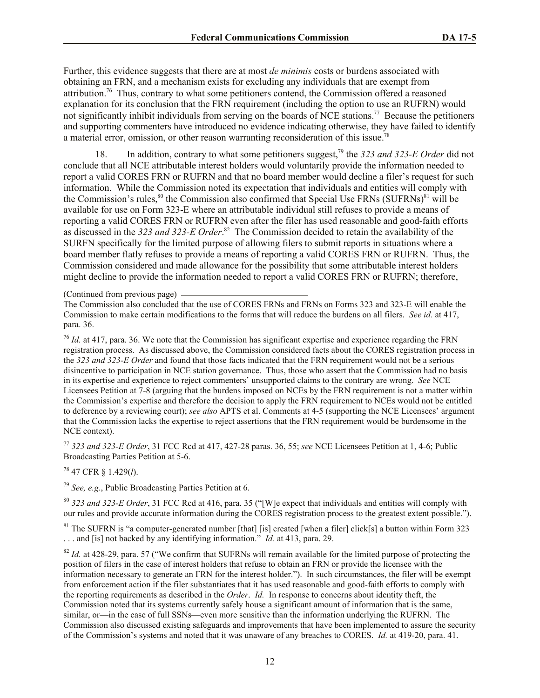Further, this evidence suggests that there are at most *de minimis* costs or burdens associated with obtaining an FRN, and a mechanism exists for excluding any individuals that are exempt from attribution.<sup>76</sup> Thus, contrary to what some petitioners contend, the Commission offered a reasoned explanation for its conclusion that the FRN requirement (including the option to use an RUFRN) would not significantly inhibit individuals from serving on the boards of NCE stations.<sup>77</sup> Because the petitioners and supporting commenters have introduced no evidence indicating otherwise, they have failed to identify a material error, omission, or other reason warranting reconsideration of this issue.<sup>78</sup>

18. In addition, contrary to what some petitioners suggest,<sup>79</sup> the *323 and 323-E Order* did not conclude that all NCE attributable interest holders would voluntarily provide the information needed to report a valid CORES FRN or RUFRN and that no board member would decline a filer's request for such information. While the Commission noted its expectation that individuals and entities will comply with the Commission's rules,<sup>80</sup> the Commission also confirmed that Special Use FRNs (SUFRNs)<sup>81</sup> will be available for use on Form 323-E where an attributable individual still refuses to provide a means of reporting a valid CORES FRN or RUFRN even after the filer has used reasonable and good-faith efforts as discussed in the 323 and 323-E Order.<sup>82</sup> The Commission decided to retain the availability of the SURFN specifically for the limited purpose of allowing filers to submit reports in situations where a board member flatly refuses to provide a means of reporting a valid CORES FRN or RUFRN. Thus, the Commission considered and made allowance for the possibility that some attributable interest holders might decline to provide the information needed to report a valid CORES FRN or RUFRN; therefore,

(Continued from previous page)

The Commission also concluded that the use of CORES FRNs and FRNs on Forms 323 and 323-E will enable the Commission to make certain modifications to the forms that will reduce the burdens on all filers. *See id.* at 417, para. 36.

<sup>76</sup> *Id.* at 417, para. 36. We note that the Commission has significant expertise and experience regarding the FRN registration process. As discussed above, the Commission considered facts about the CORES registration process in the *323 and 323-E Order* and found that those facts indicated that the FRN requirement would not be a serious disincentive to participation in NCE station governance. Thus, those who assert that the Commission had no basis in its expertise and experience to reject commenters' unsupported claims to the contrary are wrong. *See* NCE Licensees Petition at 7-8 (arguing that the burdens imposed on NCEs by the FRN requirement is not a matter within the Commission's expertise and therefore the decision to apply the FRN requirement to NCEs would not be entitled to deference by a reviewing court); *see also* APTS et al. Comments at 4-5 (supporting the NCE Licensees' argument that the Commission lacks the expertise to reject assertions that the FRN requirement would be burdensome in the NCE context).

<sup>77</sup> *323 and 323-E Order*, 31 FCC Rcd at 417, 427-28 paras. 36, 55; *see* NCE Licensees Petition at 1, 4-6; Public Broadcasting Parties Petition at 5-6.

<sup>78</sup> 47 CFR § 1.429(*l*).

<sup>79</sup> *See, e.g.*, Public Broadcasting Parties Petition at 6.

<sup>80</sup> *323 and 323-E Order*, 31 FCC Rcd at 416, para. 35 ("[W]e expect that individuals and entities will comply with our rules and provide accurate information during the CORES registration process to the greatest extent possible.").

 $81$  The SUFRN is "a computer-generated number [that] [is] created [when a filer] click[s] a button within Form 323 . . . and [is] not backed by any identifying information." *Id.* at 413, para. 29.

 $82$  *Id.* at 428-29, para. 57 ("We confirm that SUFRNs will remain available for the limited purpose of protecting the position of filers in the case of interest holders that refuse to obtain an FRN or provide the licensee with the information necessary to generate an FRN for the interest holder."). In such circumstances, the filer will be exempt from enforcement action if the filer substantiates that it has used reasonable and good-faith efforts to comply with the reporting requirements as described in the *Order*. *Id.* In response to concerns about identity theft, the Commission noted that its systems currently safely house a significant amount of information that is the same, similar, or—in the case of full SSNs—even more sensitive than the information underlying the RUFRN. The Commission also discussed existing safeguards and improvements that have been implemented to assure the security of the Commission's systems and noted that it was unaware of any breaches to CORES. *Id.* at 419-20, para. 41.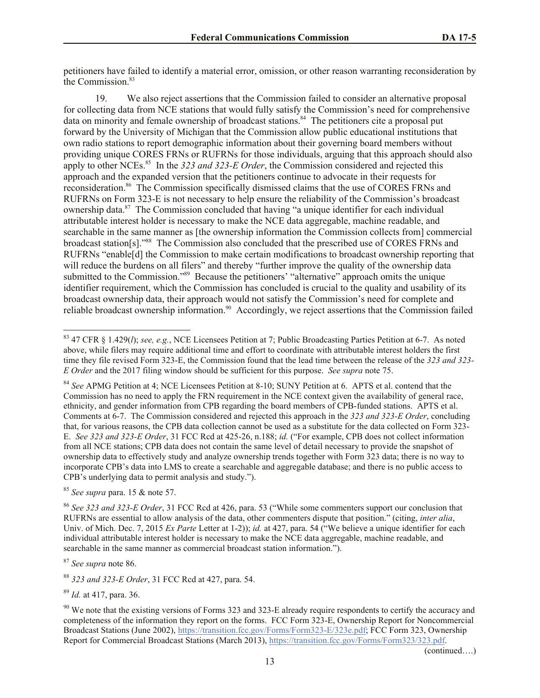petitioners have failed to identify a material error, omission, or other reason warranting reconsideration by the Commission.<sup>83</sup>

19. We also reject assertions that the Commission failed to consider an alternative proposal for collecting data from NCE stations that would fully satisfy the Commission's need for comprehensive data on minority and female ownership of broadcast stations.<sup>84</sup> The petitioners cite a proposal put forward by the University of Michigan that the Commission allow public educational institutions that own radio stations to report demographic information about their governing board members without providing unique CORES FRNs or RUFRNs for those individuals, arguing that this approach should also apply to other NCEs.<sup>85</sup> In the 323 and 323-E Order, the Commission considered and rejected this approach and the expanded version that the petitioners continue to advocate in their requests for reconsideration.<sup>86</sup> The Commission specifically dismissed claims that the use of CORES FRNs and RUFRNs on Form 323-E is not necessary to help ensure the reliability of the Commission's broadcast ownership data.<sup>87</sup> The Commission concluded that having "a unique identifier for each individual attributable interest holder is necessary to make the NCE data aggregable, machine readable, and searchable in the same manner as [the ownership information the Commission collects from] commercial broadcast station[s]."<sup>88</sup> The Commission also concluded that the prescribed use of CORES FRNs and RUFRNs "enable[d] the Commission to make certain modifications to broadcast ownership reporting that will reduce the burdens on all filers" and thereby "further improve the quality of the ownership data submitted to the Commission."<sup>89</sup> Because the petitioners' "alternative" approach omits the unique identifier requirement, which the Commission has concluded is crucial to the quality and usability of its broadcast ownership data, their approach would not satisfy the Commission's need for complete and reliable broadcast ownership information.<sup>90</sup> Accordingly, we reject assertions that the Commission failed

<sup>85</sup> *See supra* para. 15 & note 57.

<sup>87</sup> *See supra* note 86.

l

<sup>88</sup> *323 and 323-E Order*, 31 FCC Rcd at 427, para. 54.

<sup>89</sup> *Id.* at 417, para. 36.

(continued….)

<sup>83</sup> 47 CFR § 1.429(*l*); *see, e.g.*, NCE Licensees Petition at 7; Public Broadcasting Parties Petition at 6-7. As noted above, while filers may require additional time and effort to coordinate with attributable interest holders the first time they file revised Form 323-E, the Commission found that the lead time between the release of the *323 and 323- E Order* and the 2017 filing window should be sufficient for this purpose. *See supra* note 75.

<sup>84</sup> *See* APMG Petition at 4; NCE Licensees Petition at 8-10; SUNY Petition at 6. APTS et al. contend that the Commission has no need to apply the FRN requirement in the NCE context given the availability of general race, ethnicity, and gender information from CPB regarding the board members of CPB-funded stations. APTS et al. Comments at 6-7. The Commission considered and rejected this approach in the *323 and 323-E Order*, concluding that, for various reasons, the CPB data collection cannot be used as a substitute for the data collected on Form 323- E. *See 323 and 323-E Order*, 31 FCC Rcd at 425-26, n.188; *id.* ("For example, CPB does not collect information from all NCE stations; CPB data does not contain the same level of detail necessary to provide the snapshot of ownership data to effectively study and analyze ownership trends together with Form 323 data; there is no way to incorporate CPB's data into LMS to create a searchable and aggregable database; and there is no public access to CPB's underlying data to permit analysis and study.").

<sup>86</sup> *See 323 and 323-E Order*, 31 FCC Rcd at 426, para. 53 ("While some commenters support our conclusion that RUFRNs are essential to allow analysis of the data, other commenters dispute that position." (citing, *inter alia*, Univ. of Mich. Dec. 7, 2015 *Ex Parte* Letter at 1-2)); *id.* at 427, para. 54 ("We believe a unique identifier for each individual attributable interest holder is necessary to make the NCE data aggregable, machine readable, and searchable in the same manner as commercial broadcast station information.").

<sup>&</sup>lt;sup>90</sup> We note that the existing versions of Forms 323 and 323-E already require respondents to certify the accuracy and completeness of the information they report on the forms. FCC Form 323-E, Ownership Report for Noncommercial Broadcast Stations (June 2002), https://transition.fcc.gov/Forms/Form323-E/323e.pdf; FCC Form 323, Ownership Report for Commercial Broadcast Stations (March 2013), https://transition.fcc.gov/Forms/Form323/323.pdf.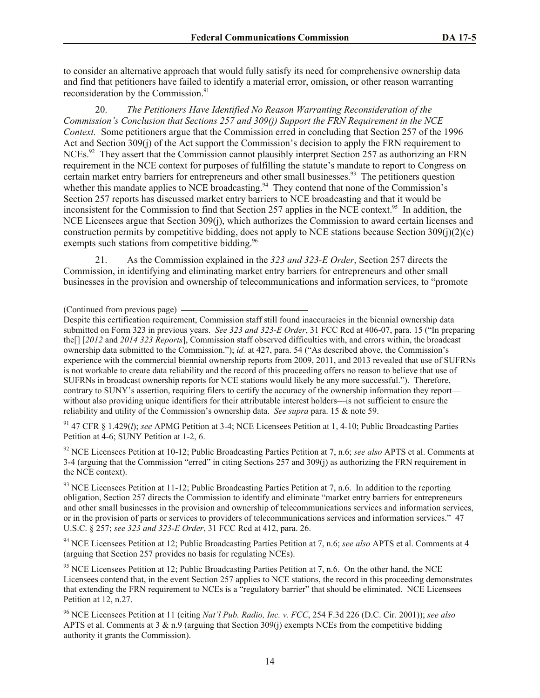to consider an alternative approach that would fully satisfy its need for comprehensive ownership data and find that petitioners have failed to identify a material error, omission, or other reason warranting reconsideration by the Commission.<sup>91</sup>

20. *The Petitioners Have Identified No Reason Warranting Reconsideration of the Commission's Conclusion that Sections 257 and 309(j) Support the FRN Requirement in the NCE Context.* Some petitioners argue that the Commission erred in concluding that Section 257 of the 1996 Act and Section 309(j) of the Act support the Commission's decision to apply the FRN requirement to NCEs.<sup>92</sup> They assert that the Commission cannot plausibly interpret Section 257 as authorizing an FRN requirement in the NCE context for purposes of fulfilling the statute's mandate to report to Congress on certain market entry barriers for entrepreneurs and other small businesses. <sup>93</sup> The petitioners question whether this mandate applies to NCE broadcasting.<sup>94</sup> They contend that none of the Commission's Section 257 reports has discussed market entry barriers to NCE broadcasting and that it would be inconsistent for the Commission to find that Section 257 applies in the NCE context. 95 In addition, the NCE Licensees argue that Section 309(j), which authorizes the Commission to award certain licenses and construction permits by competitive bidding, does not apply to NCE stations because Section  $309(i)(2)(c)$ exempts such stations from competitive bidding.<sup>96</sup>

21. As the Commission explained in the *323 and 323-E Order*, Section 257 directs the Commission, in identifying and eliminating market entry barriers for entrepreneurs and other small businesses in the provision and ownership of telecommunications and information services, to "promote

<sup>91</sup> 47 CFR § 1.429(*l*); *see* APMG Petition at 3-4; NCE Licensees Petition at 1, 4-10; Public Broadcasting Parties Petition at 4-6; SUNY Petition at 1-2, 6.

<sup>92</sup> NCE Licensees Petition at 10-12; Public Broadcasting Parties Petition at 7, n.6; *see also* APTS et al. Comments at 3-4 (arguing that the Commission "erred" in citing Sections 257 and 309(j) as authorizing the FRN requirement in the NCE context).

 $93$  NCE Licensees Petition at 11-12; Public Broadcasting Parties Petition at 7, n.6. In addition to the reporting obligation, Section 257 directs the Commission to identify and eliminate "market entry barriers for entrepreneurs and other small businesses in the provision and ownership of telecommunications services and information services, or in the provision of parts or services to providers of telecommunications services and information services." 47 U.S.C. § 257; *see 323 and 323-E Order*, 31 FCC Rcd at 412, para. 26.

<sup>94</sup> NCE Licensees Petition at 12; Public Broadcasting Parties Petition at 7, n.6; *see also* APTS et al. Comments at 4 (arguing that Section 257 provides no basis for regulating NCEs).

<sup>95</sup> NCE Licensees Petition at 12; Public Broadcasting Parties Petition at 7, n.6. On the other hand, the NCE Licensees contend that, in the event Section 257 applies to NCE stations, the record in this proceeding demonstrates that extending the FRN requirement to NCEs is a "regulatory barrier" that should be eliminated. NCE Licensees Petition at 12, n.27.

<sup>(</sup>Continued from previous page)

Despite this certification requirement, Commission staff still found inaccuracies in the biennial ownership data submitted on Form 323 in previous years. *See 323 and 323-E Order*, 31 FCC Rcd at 406-07, para. 15 ("In preparing the[] [*2012* and *2014 323 Reports*], Commission staff observed difficulties with, and errors within, the broadcast ownership data submitted to the Commission."); *id.* at 427, para. 54 ("As described above, the Commission's experience with the commercial biennial ownership reports from 2009, 2011, and 2013 revealed that use of SUFRNs is not workable to create data reliability and the record of this proceeding offers no reason to believe that use of SUFRNs in broadcast ownership reports for NCE stations would likely be any more successful."). Therefore, contrary to SUNY's assertion, requiring filers to certify the accuracy of the ownership information they report without also providing unique identifiers for their attributable interest holders—is not sufficient to ensure the reliability and utility of the Commission's ownership data. *See supra* para. 15 & note 59.

<sup>96</sup> NCE Licensees Petition at 11 (citing *Nat'l Pub. Radio, Inc. v. FCC*, 254 F.3d 226 (D.C. Cir. 2001)); *see also*  APTS et al. Comments at 3 & n.9 (arguing that Section 309(j) exempts NCEs from the competitive bidding authority it grants the Commission).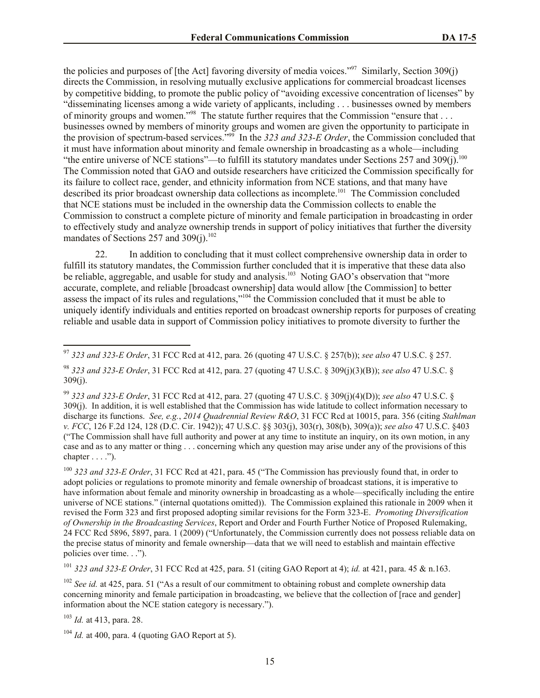the policies and purposes of [the Act] favoring diversity of media voices."<sup>97</sup> Similarly, Section 309(j) directs the Commission, in resolving mutually exclusive applications for commercial broadcast licenses by competitive bidding, to promote the public policy of "avoiding excessive concentration of licenses" by "disseminating licenses among a wide variety of applicants, including . . . businesses owned by members of minority groups and women."<sup>98</sup> The statute further requires that the Commission "ensure that ... businesses owned by members of minority groups and women are given the opportunity to participate in the provision of spectrum-based services."<sup>99</sup> In the *323 and 323-E Order*, the Commission concluded that it must have information about minority and female ownership in broadcasting as a whole—including "the entire universe of NCE stations"—to fulfill its statutory mandates under Sections 257 and 309 $(j)$ .<sup>100</sup> The Commission noted that GAO and outside researchers have criticized the Commission specifically for its failure to collect race, gender, and ethnicity information from NCE stations, and that many have described its prior broadcast ownership data collections as incomplete.<sup>101</sup> The Commission concluded that NCE stations must be included in the ownership data the Commission collects to enable the Commission to construct a complete picture of minority and female participation in broadcasting in order to effectively study and analyze ownership trends in support of policy initiatives that further the diversity mandates of Sections 257 and  $309(j)$ .<sup>102</sup>

22. In addition to concluding that it must collect comprehensive ownership data in order to fulfill its statutory mandates, the Commission further concluded that it is imperative that these data also be reliable, aggregable, and usable for study and analysis.<sup>103</sup> Noting GAO's observation that "more accurate, complete, and reliable [broadcast ownership] data would allow [the Commission] to better assess the impact of its rules and regulations,"<sup>104</sup> the Commission concluded that it must be able to uniquely identify individuals and entities reported on broadcast ownership reports for purposes of creating reliable and usable data in support of Commission policy initiatives to promote diversity to further the

<sup>101</sup> *323 and 323-E Order*, 31 FCC Rcd at 425, para. 51 (citing GAO Report at 4); *id.* at 421, para. 45 & n.163.

<sup>102</sup> *See id.* at 425, para. 51 ("As a result of our commitment to obtaining robust and complete ownership data concerning minority and female participation in broadcasting, we believe that the collection of [race and gender] information about the NCE station category is necessary.").

<sup>103</sup> *Id.* at 413, para. 28.

l

<sup>97</sup> *323 and 323-E Order*, 31 FCC Rcd at 412, para. 26 (quoting 47 U.S.C. § 257(b)); *see also* 47 U.S.C. § 257.

<sup>98</sup> *323 and 323-E Order*, 31 FCC Rcd at 412, para. 27 (quoting 47 U.S.C. § 309(j)(3)(B)); *see also* 47 U.S.C. § 309(j).

<sup>99</sup> *323 and 323-E Order*, 31 FCC Rcd at 412, para. 27 (quoting 47 U.S.C. § 309(j)(4)(D)); *see also* 47 U.S.C. § 309(j). In addition, it is well established that the Commission has wide latitude to collect information necessary to discharge its functions. *See, e.g.*, *2014 Quadrennial Review R&O*, 31 FCC Rcd at 10015, para. 356 (citing *Stahlman v. FCC*, 126 F.2d 124, 128 (D.C. Cir. 1942)); 47 U.S.C. §§ 303(j), 303(r), 308(b), 309(a)); *see also* 47 U.S.C. §403 ("The Commission shall have full authority and power at any time to institute an inquiry, on its own motion, in any case and as to any matter or thing . . . concerning which any question may arise under any of the provisions of this chapter  $\dots$  .").

<sup>100</sup> *323 and 323-E Order*, 31 FCC Rcd at 421, para. 45 ("The Commission has previously found that, in order to adopt policies or regulations to promote minority and female ownership of broadcast stations, it is imperative to have information about female and minority ownership in broadcasting as a whole—specifically including the entire universe of NCE stations." (internal quotations omitted)). The Commission explained this rationale in 2009 when it revised the Form 323 and first proposed adopting similar revisions for the Form 323-E. *Promoting Diversification of Ownership in the Broadcasting Services*, Report and Order and Fourth Further Notice of Proposed Rulemaking, 24 FCC Rcd 5896, 5897, para. 1 (2009) ("Unfortunately, the Commission currently does not possess reliable data on the precise status of minority and female ownership—data that we will need to establish and maintain effective policies over time. . .").

 $104$  *Id.* at 400, para. 4 (quoting GAO Report at 5).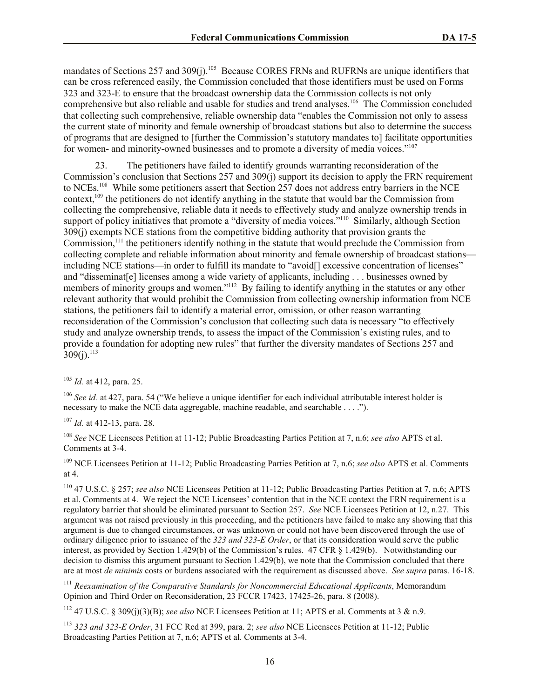mandates of Sections 257 and 309(j).<sup>105</sup> Because CORES FRNs and RUFRNs are unique identifiers that can be cross referenced easily, the Commission concluded that those identifiers must be used on Forms 323 and 323-E to ensure that the broadcast ownership data the Commission collects is not only comprehensive but also reliable and usable for studies and trend analyses.<sup>106</sup> The Commission concluded that collecting such comprehensive, reliable ownership data "enables the Commission not only to assess the current state of minority and female ownership of broadcast stations but also to determine the success of programs that are designed to [further the Commission's statutory mandates to] facilitate opportunities for women- and minority-owned businesses and to promote a diversity of media voices."<sup>107</sup>

The petitioners have failed to identify grounds warranting reconsideration of the Commission's conclusion that Sections 257 and 309(j) support its decision to apply the FRN requirement to NCEs.<sup>108</sup> While some petitioners assert that Section 257 does not address entry barriers in the NCE context,<sup>109</sup> the petitioners do not identify anything in the statute that would bar the Commission from collecting the comprehensive, reliable data it needs to effectively study and analyze ownership trends in support of policy initiatives that promote a "diversity of media voices."<sup>110</sup> Similarly, although Section 309(j) exempts NCE stations from the competitive bidding authority that provision grants the Commission,<sup>111</sup> the petitioners identify nothing in the statute that would preclude the Commission from collecting complete and reliable information about minority and female ownership of broadcast stations including NCE stations—in order to fulfill its mandate to "avoid[] excessive concentration of licenses" and "disseminat[e] licenses among a wide variety of applicants, including . . . businesses owned by members of minority groups and women."<sup>112</sup> By failing to identify anything in the statutes or any other relevant authority that would prohibit the Commission from collecting ownership information from NCE stations, the petitioners fail to identify a material error, omission, or other reason warranting reconsideration of the Commission's conclusion that collecting such data is necessary "to effectively study and analyze ownership trends, to assess the impact of the Commission's existing rules, and to provide a foundation for adopting new rules" that further the diversity mandates of Sections 257 and  $309(j).$ <sup>113</sup>

l

<sup>107</sup> *Id.* at 412-13, para. 28.

<sup>108</sup> *See* NCE Licensees Petition at 11-12; Public Broadcasting Parties Petition at 7, n.6; *see also* APTS et al. Comments at 3-4.

<sup>109</sup> NCE Licensees Petition at 11-12; Public Broadcasting Parties Petition at 7, n.6; *see also* APTS et al. Comments at 4.

<sup>110</sup> 47 U.S.C. § 257; *see also* NCE Licensees Petition at 11-12; Public Broadcasting Parties Petition at 7, n.6; APTS et al. Comments at 4. We reject the NCE Licensees' contention that in the NCE context the FRN requirement is a regulatory barrier that should be eliminated pursuant to Section 257. *See* NCE Licensees Petition at 12, n.27. This argument was not raised previously in this proceeding, and the petitioners have failed to make any showing that this argument is due to changed circumstances, or was unknown or could not have been discovered through the use of ordinary diligence prior to issuance of the *323 and 323-E Order*, or that its consideration would serve the public interest, as provided by Section 1.429(b) of the Commission's rules. 47 CFR § 1.429(b). Notwithstanding our decision to dismiss this argument pursuant to Section 1.429(b), we note that the Commission concluded that there are at most *de minimis* costs or burdens associated with the requirement as discussed above. *See supra* paras. 16-18.

<sup>111</sup> Reexamination of the Comparative Standards for Noncommercial Educational Applicants, Memorandum Opinion and Third Order on Reconsideration, 23 FCCR 17423, 17425-26, para. 8 (2008).

<sup>112</sup> 47 U.S.C. § 309(j)(3)(B); *see also* NCE Licensees Petition at 11; APTS et al. Comments at 3 & n.9.

<sup>113</sup> *323 and 323-E Order*, 31 FCC Rcd at 399, para. 2; *see also* NCE Licensees Petition at 11-12; Public Broadcasting Parties Petition at 7, n.6; APTS et al. Comments at 3-4.

<sup>105</sup> *Id.* at 412, para. 25.

<sup>&</sup>lt;sup>106</sup> *See id.* at 427, para. 54 ("We believe a unique identifier for each individual attributable interest holder is necessary to make the NCE data aggregable, machine readable, and searchable . . . .").